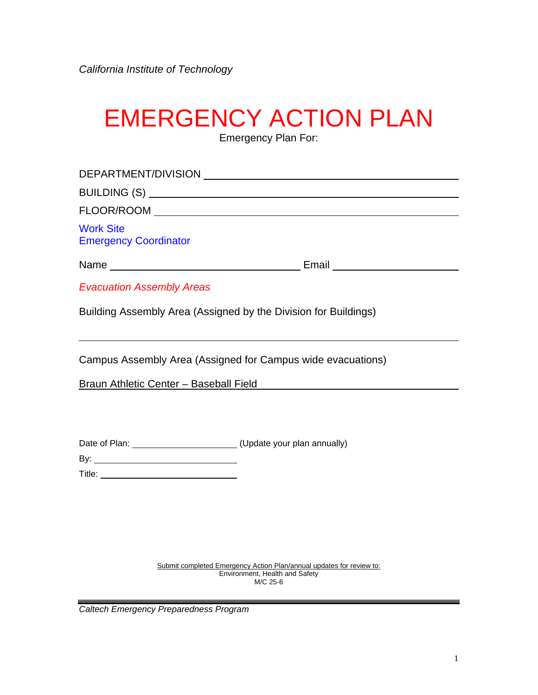# EMERGENCY ACTION PLAN

Emergency Plan For:

| <b>Work Site</b><br><b>Emergency Coordinator</b>                 |                                                                                                        |
|------------------------------------------------------------------|--------------------------------------------------------------------------------------------------------|
|                                                                  |                                                                                                        |
| <b>Evacuation Assembly Areas</b>                                 |                                                                                                        |
| Building Assembly Area (Assigned by the Division for Buildings)  |                                                                                                        |
| Campus Assembly Area (Assigned for Campus wide evacuations)      |                                                                                                        |
|                                                                  | Braun Athletic Center - Baseball Field <b>Exercise State Adventurery</b> 1996                          |
|                                                                  |                                                                                                        |
| Date of Plan: _______________________(Update your plan annually) |                                                                                                        |
|                                                                  |                                                                                                        |
|                                                                  |                                                                                                        |
|                                                                  |                                                                                                        |
|                                                                  |                                                                                                        |
|                                                                  |                                                                                                        |
|                                                                  | Submit completed Emergency Action Plan/annual updates for review to:<br>Environment, Health and Safety |

M/C 25-6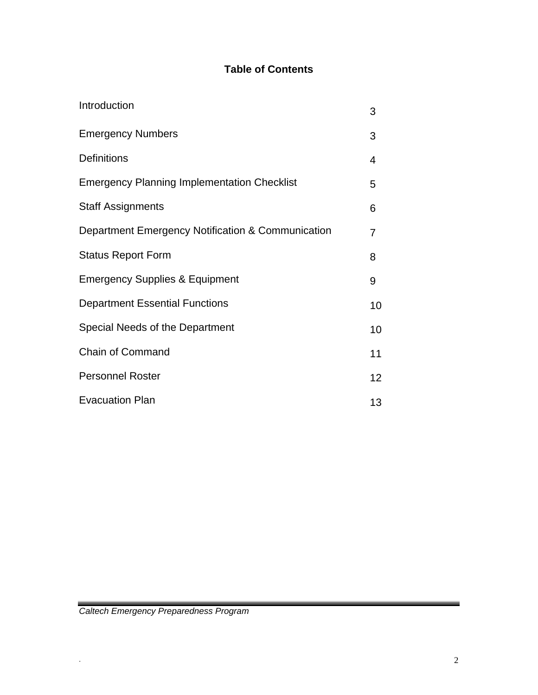# **Table of Contents**

| Introduction                                       | 3  |
|----------------------------------------------------|----|
| <b>Emergency Numbers</b>                           | 3  |
| <b>Definitions</b>                                 | 4  |
| <b>Emergency Planning Implementation Checklist</b> | 5  |
| <b>Staff Assignments</b>                           | 6  |
| Department Emergency Notification & Communication  | 7  |
| <b>Status Report Form</b>                          | 8  |
| <b>Emergency Supplies &amp; Equipment</b>          | 9  |
| <b>Department Essential Functions</b>              | 10 |
| Special Needs of the Department                    | 10 |
| <b>Chain of Command</b>                            | 11 |
| <b>Personnel Roster</b>                            | 12 |
| <b>Evacuation Plan</b>                             | 13 |

\_\_\_\_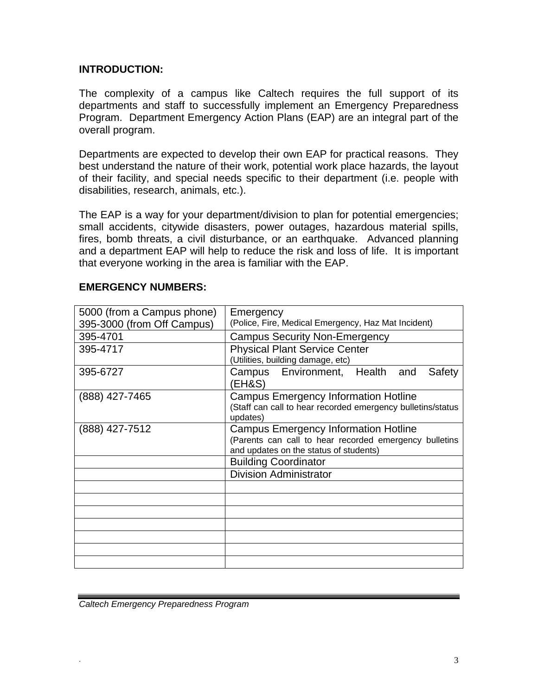#### **INTRODUCTION:**

The complexity of a campus like Caltech requires the full support of its departments and staff to successfully implement an Emergency Preparedness Program. Department Emergency Action Plans (EAP) are an integral part of the overall program.

Departments are expected to develop their own EAP for practical reasons. They best understand the nature of their work, potential work place hazards, the layout of their facility, and special needs specific to their department (i.e. people with disabilities, research, animals, etc.).

The EAP is a way for your department/division to plan for potential emergencies; small accidents, citywide disasters, power outages, hazardous material spills, fires, bomb threats, a civil disturbance, or an earthquake. Advanced planning and a department EAP will help to reduce the risk and loss of life. It is important that everyone working in the area is familiar with the EAP.

| 5000 (from a Campus phone) | Emergency                                                                                                                                       |  |  |
|----------------------------|-------------------------------------------------------------------------------------------------------------------------------------------------|--|--|
| 395-3000 (from Off Campus) | (Police, Fire, Medical Emergency, Haz Mat Incident)                                                                                             |  |  |
| 395-4701                   | <b>Campus Security Non-Emergency</b>                                                                                                            |  |  |
| 395-4717                   | <b>Physical Plant Service Center</b><br>(Utilities, building damage, etc)                                                                       |  |  |
| 395-6727                   | Campus Environment, Health and<br>Safety<br>(EH&S)                                                                                              |  |  |
| (888) 427-7465             | <b>Campus Emergency Information Hotline</b><br>(Staff can call to hear recorded emergency bulletins/status<br>updates)                          |  |  |
| (888) 427-7512             | <b>Campus Emergency Information Hotline</b><br>(Parents can call to hear recorded emergency bulletins<br>and updates on the status of students) |  |  |
|                            | <b>Building Coordinator</b>                                                                                                                     |  |  |
|                            | <b>Division Administrator</b>                                                                                                                   |  |  |
|                            |                                                                                                                                                 |  |  |
|                            |                                                                                                                                                 |  |  |
|                            |                                                                                                                                                 |  |  |
|                            |                                                                                                                                                 |  |  |
|                            |                                                                                                                                                 |  |  |
|                            |                                                                                                                                                 |  |  |
|                            |                                                                                                                                                 |  |  |

#### **EMERGENCY NUMBERS:**

*Caltech Emergency Preparedness Program*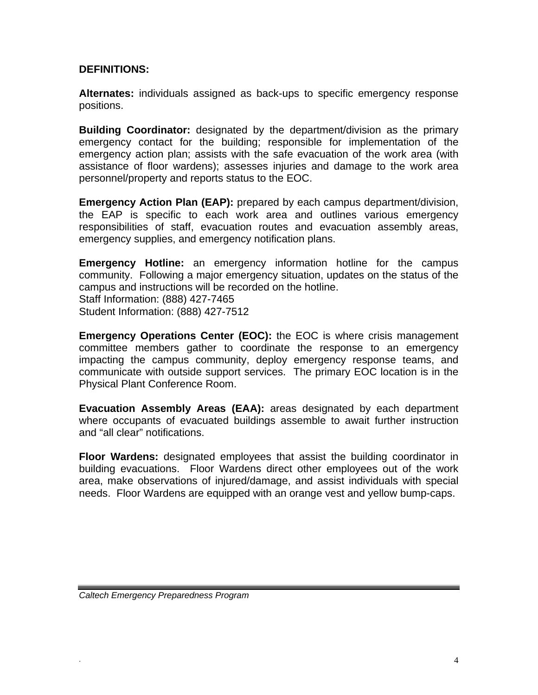#### **DEFINITIONS:**

**Alternates:** individuals assigned as back-ups to specific emergency response positions.

**Building Coordinator:** designated by the department/division as the primary emergency contact for the building; responsible for implementation of the emergency action plan; assists with the safe evacuation of the work area (with assistance of floor wardens); assesses injuries and damage to the work area personnel/property and reports status to the EOC.

**Emergency Action Plan (EAP):** prepared by each campus department/division, the EAP is specific to each work area and outlines various emergency responsibilities of staff, evacuation routes and evacuation assembly areas, emergency supplies, and emergency notification plans.

**Emergency Hotline:** an emergency information hotline for the campus community. Following a major emergency situation, updates on the status of the campus and instructions will be recorded on the hotline. Staff Information: (888) 427-7465 Student Information: (888) 427-7512

**Emergency Operations Center (EOC):** the EOC is where crisis management committee members gather to coordinate the response to an emergency impacting the campus community, deploy emergency response teams, and communicate with outside support services. The primary EOC location is in the Physical Plant Conference Room.

**Evacuation Assembly Areas (EAA):** areas designated by each department where occupants of evacuated buildings assemble to await further instruction and "all clear" notifications.

**Floor Wardens:** designated employees that assist the building coordinator in building evacuations. Floor Wardens direct other employees out of the work area, make observations of injured/damage, and assist individuals with special needs. Floor Wardens are equipped with an orange vest and yellow bump-caps.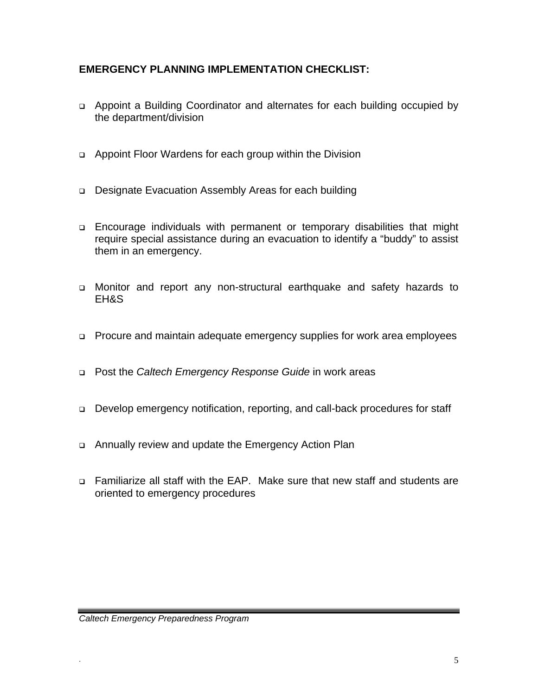## **EMERGENCY PLANNING IMPLEMENTATION CHECKLIST:**

- Appoint a Building Coordinator and alternates for each building occupied by the department/division
- Appoint Floor Wardens for each group within the Division
- □ Designate Evacuation Assembly Areas for each building
- Encourage individuals with permanent or temporary disabilities that might require special assistance during an evacuation to identify a "buddy" to assist them in an emergency.
- Monitor and report any non-structural earthquake and safety hazards to EH&S
- □ Procure and maintain adequate emergency supplies for work area employees
- Post the *Caltech Emergency Response Guide* in work areas
- □ Develop emergency notification, reporting, and call-back procedures for staff
- Annually review and update the Emergency Action Plan
- Familiarize all staff with the EAP. Make sure that new staff and students are oriented to emergency procedures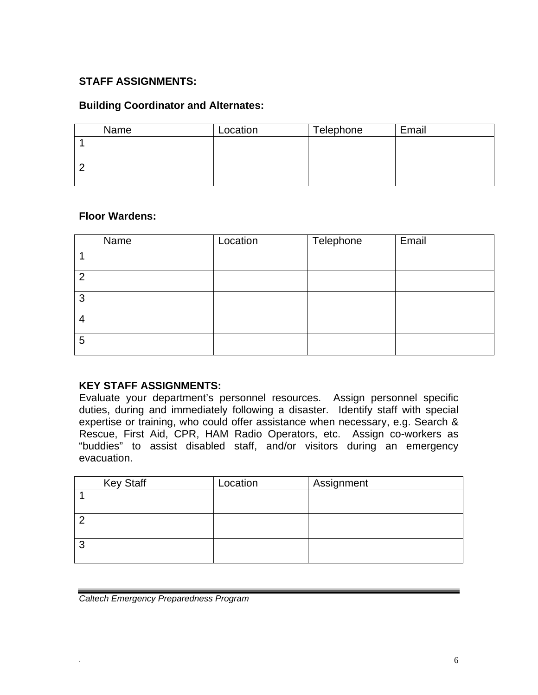## **STAFF ASSIGNMENTS:**

#### **Building Coordinator and Alternates:**

| Name | Location | Telephone | Email |
|------|----------|-----------|-------|
|      |          |           |       |
|      |          |           |       |
|      |          |           |       |
|      |          |           |       |

#### **Floor Wardens:**

|                | Name | Location | Telephone | Email |
|----------------|------|----------|-----------|-------|
|                |      |          |           |       |
| $\overline{2}$ |      |          |           |       |
| 3              |      |          |           |       |
| $\overline{4}$ |      |          |           |       |
| 5              |      |          |           |       |

#### **KEY STAFF ASSIGNMENTS:**

Evaluate your department's personnel resources. Assign personnel specific duties, during and immediately following a disaster. Identify staff with special expertise or training, who could offer assistance when necessary, e.g. Search & Rescue, First Aid, CPR, HAM Radio Operators, etc. Assign co-workers as "buddies" to assist disabled staff, and/or visitors during an emergency evacuation.

|   | <b>Key Staff</b> | Location | Assignment |
|---|------------------|----------|------------|
|   |                  |          |            |
|   |                  |          |            |
|   |                  |          |            |
|   |                  |          |            |
| 3 |                  |          |            |
|   |                  |          |            |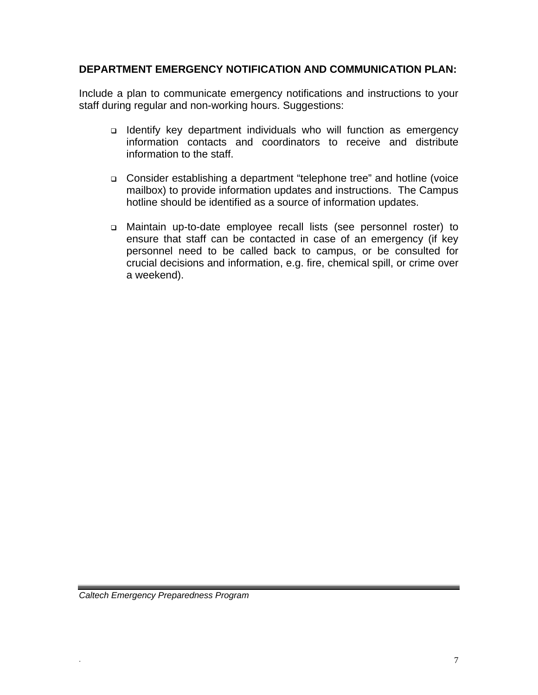#### **DEPARTMENT EMERGENCY NOTIFICATION AND COMMUNICATION PLAN:**

Include a plan to communicate emergency notifications and instructions to your staff during regular and non-working hours. Suggestions:

- Identify key department individuals who will function as emergency information contacts and coordinators to receive and distribute information to the staff.
- Consider establishing a department "telephone tree" and hotline (voice mailbox) to provide information updates and instructions. The Campus hotline should be identified as a source of information updates.
- Maintain up-to-date employee recall lists (see personnel roster) to ensure that staff can be contacted in case of an emergency (if key personnel need to be called back to campus, or be consulted for crucial decisions and information, e.g. fire, chemical spill, or crime over a weekend).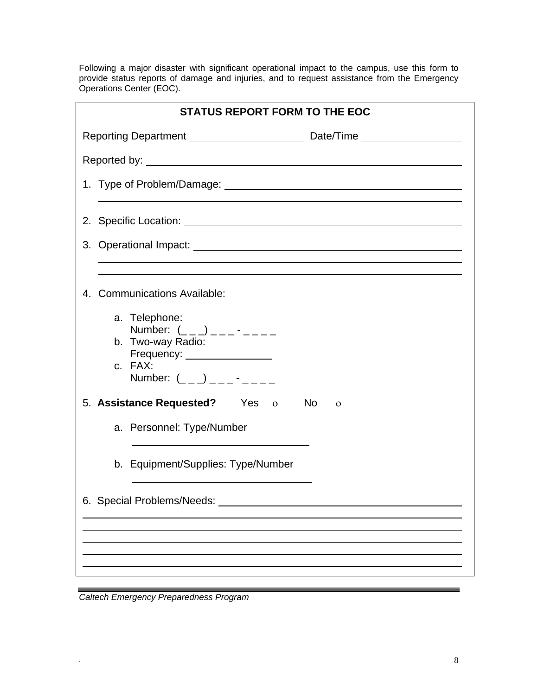Following a major disaster with significant operational impact to the campus, use this form to provide status reports of damage and injuries, and to request assistance from the Emergency Operations Center (EOC).

| <b>STATUS REPORT FORM TO THE EOC</b>                                                                                                                                                                                           |  |  |  |
|--------------------------------------------------------------------------------------------------------------------------------------------------------------------------------------------------------------------------------|--|--|--|
|                                                                                                                                                                                                                                |  |  |  |
|                                                                                                                                                                                                                                |  |  |  |
|                                                                                                                                                                                                                                |  |  |  |
|                                                                                                                                                                                                                                |  |  |  |
| 3. Operational Impact: University of the Contract of the Contract of the Contract of the Contract of the Contract of the Contract of the Contract of the Contract of the Contract of the Contract of the Contract of the Contr |  |  |  |
|                                                                                                                                                                                                                                |  |  |  |
| 4. Communications Available:                                                                                                                                                                                                   |  |  |  |
| a. Telephone:<br>Number: $($ $($ $)$ $)$ $      -$                                                                                                                                                                             |  |  |  |
| b. Two-way Radio:<br>Frequency: ________________                                                                                                                                                                               |  |  |  |
| c. FAX:<br>Number: $($ _ _ _) _ _ _ - _ _ _ _                                                                                                                                                                                  |  |  |  |
| 5. Assistance Requested? Yes o No<br>$\Omega$                                                                                                                                                                                  |  |  |  |
| a. Personnel: Type/Number                                                                                                                                                                                                      |  |  |  |
| b. Equipment/Supplies: Type/Number                                                                                                                                                                                             |  |  |  |
| 6. Special Problems/Needs:                                                                                                                                                                                                     |  |  |  |
|                                                                                                                                                                                                                                |  |  |  |
|                                                                                                                                                                                                                                |  |  |  |
|                                                                                                                                                                                                                                |  |  |  |

*Caltech Emergency Preparedness Program*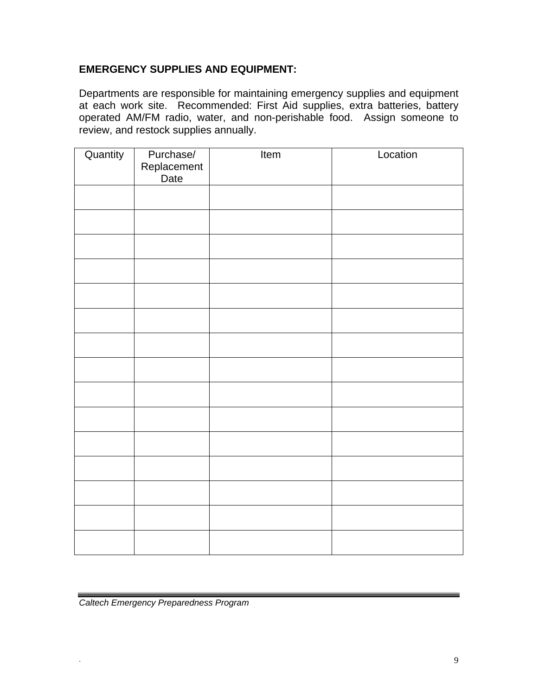## **EMERGENCY SUPPLIES AND EQUIPMENT:**

Departments are responsible for maintaining emergency supplies and equipment at each work site. Recommended: First Aid supplies, extra batteries, battery operated AM/FM radio, water, and non-perishable food. Assign someone to review, and restock supplies annually.

| Quantity | Purchase/<br>Replacement<br>Date | Item | Location |
|----------|----------------------------------|------|----------|
|          |                                  |      |          |
|          |                                  |      |          |
|          |                                  |      |          |
|          |                                  |      |          |
|          |                                  |      |          |
|          |                                  |      |          |
|          |                                  |      |          |
|          |                                  |      |          |
|          |                                  |      |          |
|          |                                  |      |          |
|          |                                  |      |          |
|          |                                  |      |          |
|          |                                  |      |          |
|          |                                  |      |          |
|          |                                  |      |          |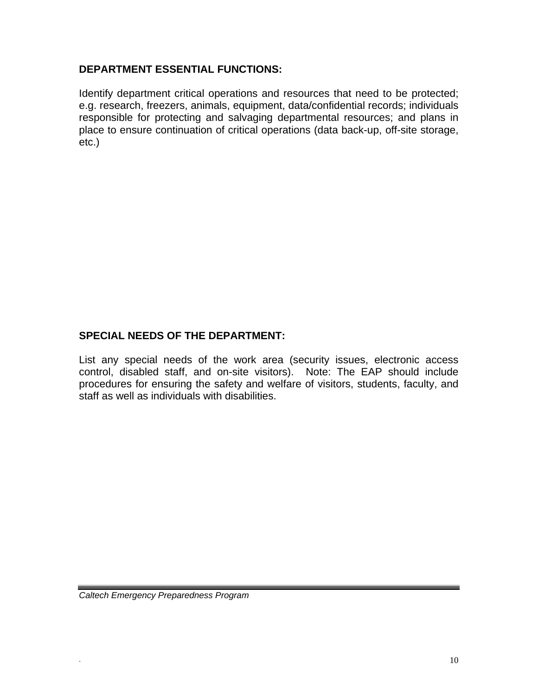## **DEPARTMENT ESSENTIAL FUNCTIONS:**

Identify department critical operations and resources that need to be protected; e.g. research, freezers, animals, equipment, data/confidential records; individuals responsible for protecting and salvaging departmental resources; and plans in place to ensure continuation of critical operations (data back-up, off-site storage, etc.)

## **SPECIAL NEEDS OF THE DEPARTMENT:**

List any special needs of the work area (security issues, electronic access control, disabled staff, and on-site visitors). Note: The EAP should include procedures for ensuring the safety and welfare of visitors, students, faculty, and staff as well as individuals with disabilities.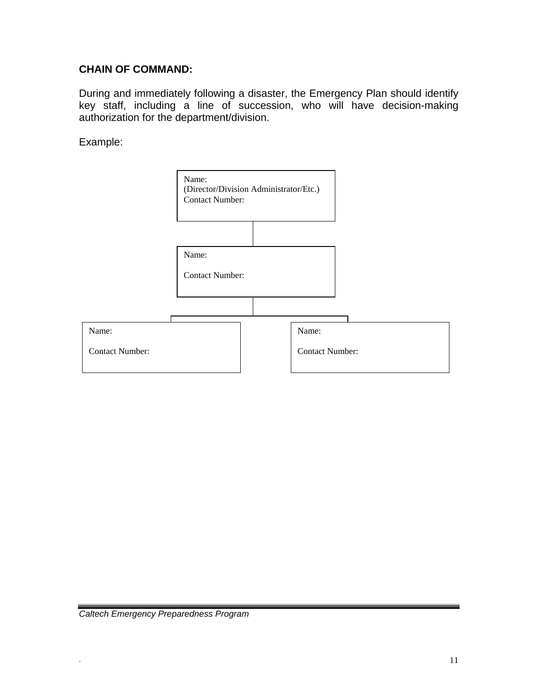## **CHAIN OF COMMAND:**

During and immediately following a disaster, the Emergency Plan should identify key staff, including a line of succession, who will have decision-making authorization for the department/division.

Example:

|                        | Name:<br>(Director/Division Administrator/Etc.)<br><b>Contact Number:</b> |  |                        |  |
|------------------------|---------------------------------------------------------------------------|--|------------------------|--|
|                        |                                                                           |  |                        |  |
|                        | Name:                                                                     |  |                        |  |
|                        | <b>Contact Number:</b>                                                    |  |                        |  |
|                        |                                                                           |  |                        |  |
| Name:                  |                                                                           |  | Name:                  |  |
| <b>Contact Number:</b> |                                                                           |  | <b>Contact Number:</b> |  |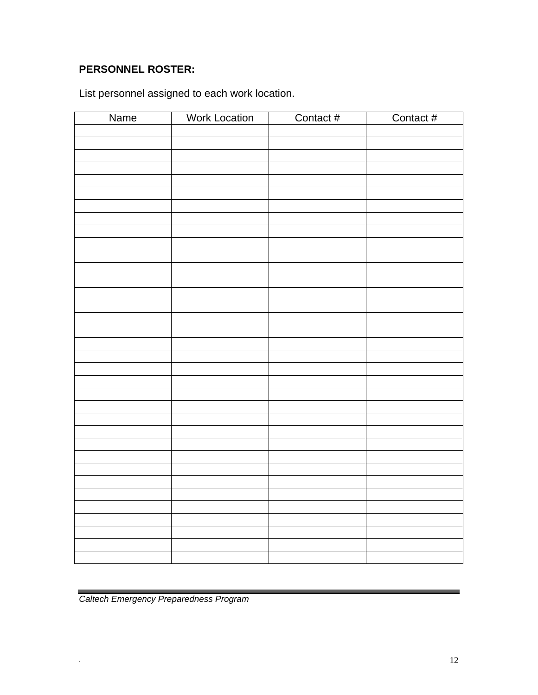# **PERSONNEL ROSTER:**

List personnel assigned to each work location.

| Name | <b>Work Location</b> | Contact # | Contact # |
|------|----------------------|-----------|-----------|
|      |                      |           |           |
|      |                      |           |           |
|      |                      |           |           |
|      |                      |           |           |
|      |                      |           |           |
|      |                      |           |           |
|      |                      |           |           |
|      |                      |           |           |
|      |                      |           |           |
|      |                      |           |           |
|      |                      |           |           |
|      |                      |           |           |
|      |                      |           |           |
|      |                      |           |           |
|      |                      |           |           |
|      |                      |           |           |
|      |                      |           |           |
|      |                      |           |           |
|      |                      |           |           |
|      |                      |           |           |
|      |                      |           |           |
|      |                      |           |           |
|      |                      |           |           |
|      |                      |           |           |
|      |                      |           |           |
|      |                      |           |           |
|      |                      |           |           |
|      |                      |           |           |
|      |                      |           |           |
|      |                      |           |           |
|      |                      |           |           |
|      |                      |           |           |
|      |                      |           |           |